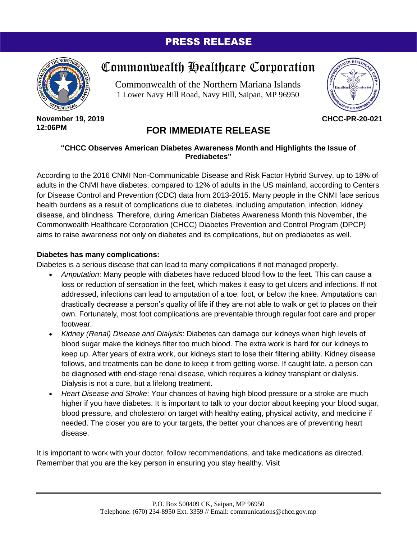### PRESS RELEASE



# Commonwealth Healthcare Corporation

Commonwealth of the Northern Mariana Islands 1 Lower Navy Hill Road, Navy Hill, Saipan, MP 96950



**November 19, 2019 12:06PM**

## **FOR IMMEDIATE RELEASE**

#### **"CHCC Observes American Diabetes Awareness Month and Highlights the Issue of Prediabetes"**

According to the 2016 CNMI Non-Communicable Disease and Risk Factor Hybrid Survey, up to 18% of adults in the CNMI have diabetes, compared to 12% of adults in the US mainland, according to Centers for Disease Control and Prevention (CDC) data from 2013-2015. Many people in the CNMI face serious health burdens as a result of complications due to diabetes, including amputation, infection, kidney disease, and blindness. Therefore, during American Diabetes Awareness Month this November, the Commonwealth Healthcare Corporation (CHCC) Diabetes Prevention and Control Program (DPCP) aims to raise awareness not only on diabetes and its complications, but on prediabetes as well.

#### **Diabetes has many complications:**

Diabetes is a serious disease that can lead to many complications if not managed properly.

- *Amputation*: Many people with diabetes have reduced blood flow to the feet. This can cause a loss or reduction of sensation in the feet, which makes it easy to get ulcers and infections. If not addressed, infections can lead to amputation of a toe, foot, or below the knee. Amputations can drastically decrease a person's quality of life if they are not able to walk or get to places on their own. Fortunately, most foot complications are preventable through regular foot care and proper footwear.
- *Kidney (Renal) Disease and Dialysis*: Diabetes can damage our kidneys when high levels of blood sugar make the kidneys filter too much blood. The extra work is hard for our kidneys to keep up. After years of extra work, our kidneys start to lose their filtering ability. Kidney disease follows, and treatments can be done to keep it from getting worse. If caught late, a person can be diagnosed with end-stage renal disease, which requires a kidney transplant or dialysis. Dialysis is not a cure, but a lifelong treatment.
- *Heart Disease and Stroke*: Your chances of having high blood pressure or a stroke are much higher if you have diabetes. It is important to talk to your doctor about keeping your blood sugar, blood pressure, and cholesterol on target with healthy eating, physical activity, and medicine if needed. The closer you are to your targets, the better your chances are of preventing heart disease.

It is important to work with your doctor, follow recommendations, and take medications as directed. Remember that you are the key person in ensuring you stay healthy. Visit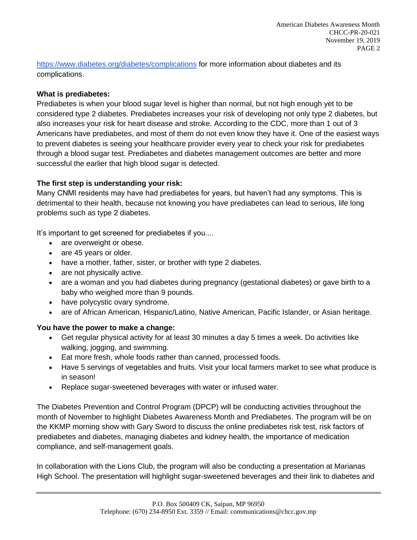<https://www.diabetes.org/diabetes/complications> for more information about diabetes and its complications.

#### **What is prediabetes:**

Prediabetes is when your blood sugar level is higher than normal, but not high enough yet to be considered type 2 diabetes. Prediabetes increases your risk of developing not only type 2 diabetes, but also increases your risk for heart disease and stroke. According to the CDC, more than 1 out of 3 Americans have prediabetes, and most of them do not even know they have it. One of the easiest ways to prevent diabetes is seeing your healthcare provider every year to check your risk for prediabetes through a blood sugar test. Prediabetes and diabetes management outcomes are better and more successful the earlier that high blood sugar is detected.

#### **The first step is understanding your risk:**

Many CNMI residents may have had prediabetes for years, but haven't had any symptoms. This is detrimental to their health, because not knowing you have prediabetes can lead to serious, life long problems such as type 2 diabetes.

It's important to get screened for prediabetes if you....

- are overweight or obese.
- are 45 years or older.
- have a mother, father, sister, or brother with type 2 diabetes.
- are not physically active.
- are a woman and you had diabetes during pregnancy (gestational diabetes) or gave birth to a baby who weighed more than 9 pounds.
- have polycystic ovary syndrome.
- are of African American, Hispanic/Latino, Native American, Pacific Islander, or Asian heritage.

#### **You have the power to make a change:**

- Get regular physical activity for at least 30 minutes a day 5 times a week. Do activities like walking, jogging, and swimming.
- Eat more fresh, whole foods rather than canned, processed foods.
- Have 5 servings of vegetables and fruits. Visit your local farmers market to see what produce is in season!
- Replace sugar-sweetened beverages with water or infused water.

The Diabetes Prevention and Control Program (DPCP) will be conducting activities throughout the month of November to highlight Diabetes Awareness Month and Prediabetes. The program will be on the KKMP morning show with Gary Sword to discuss the online prediabetes risk test, risk factors of prediabetes and diabetes, managing diabetes and kidney health, the importance of medication compliance, and self-management goals.

In collaboration with the Lions Club, the program will also be conducting a presentation at Marianas High School. The presentation will highlight sugar-sweetened beverages and their link to diabetes and